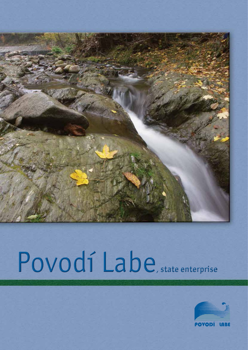

# Povodí Labe, state enterprise

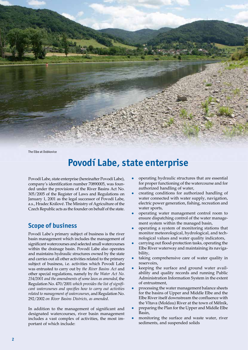

The Elbe at Dobkovice

# **Povodí Labe, state enterprise**

Povodí Labe, state enterprise (hereinafter Povodí Labe), company's identification number 70890005, was founded under the provisions of the River Basins Act No. 305/2005 of the Register of Laws and Regulations on January 1, 2001 as the legal successor of Povodí Labe, a.s., Hradec Králové. The Ministry of Agriculture of the Czech Republic acts as the founder on behalf of the state.

# **Scope of business**

Povodí Labe's primary subject of business is the river basin management which includes the management of significant watercourses and selected small watercourses within the drainage basin. Povodí Labe also operates and maintains hydraulic structures owned by the state and carries out all other activities related to the primary subject of business, i.e. activities which Povodí Labe was entrusted to carry out by *the River Basins Act* and other special regulations, namely by *the Water Act No. 254/2001 and the amendments of some laws as amended*, the Regulation No. 470/2001 *which provides the list of significant watercourses and specifies how to carry out activities related to management of watercourses*, and Regulation No. 292/2002 *on River Basins Districts, as amended*.

In addition to the management of significant and designated watercourses, river basin management includes a vast complex of activities, the most important of which include:

- operating hydraulic structures that are essential for proper functioning of the watercourse and for authorized handling of water,
- creating conditions for authorized handling of water connected with water supply, navigation, electric power generation, fishing, recreation and water sports,
- <sup>l</sup> operating water management control room to ensure dispatching control of the water management system within the managed basin,
- <sup>l</sup> operating a system of monitoring stations that monitor meteorological, hydrological, and technological values and water quality indicators,
- carrying out flood-protection tasks, operating the Elbe River waterway and maintaining its navigability,
- taking comprehensive care of water quality in reservoirs,
- <sup>l</sup> keeping the surface and ground water availability and quality records and running Public Administration Information System in the extent of entrustment,
- processing the water management balance sheets for the basins of Upper and Middle Elbe and the Elbe River itself downstream the confluence with the Vltava (Moldau) River at the town of Mělník,
- <sup>l</sup> preparing the Plan for the Upper and Middle Elbe Basin,
- monitoring the surface and waste water, river sediments, and suspended solids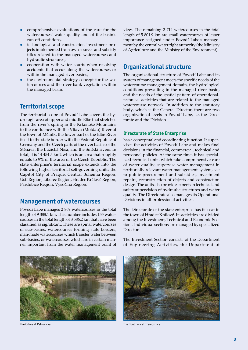- comprehensive evaluations of the care for the watercourses' water quality and of the basin's run-off conditions,
- technological and construction investment projects implemented from own sources and subsidy titles related to the managed watercourses and hydraulic structures,
- cooperation with water courts when resolving accidents that occur along the watercourses or within the managed river basins,
- the environmental strategy concept for the watercourses and the river bank vegetation within the managed basin.

# **Territorial scope**

The territorial scope of Povodí Labe covers the hydrologic area of upper and middle Elbe that stretches from the river's spring in the Krkonoše Mountains to the confluence with the Vltava (Moldau) River at the town of Mělník, the lower part of the Elbe River itself to the state border with the Federal Republic of Germany and the Czech parts of the river basins of the Stěnava, the Lužická Nisa, and the Smědá rivers. In total, it is 14 454.5 km2 which is an area that roughly equals to 9% of the area of the Czech Republic. The state enterprise's territorial scope extends into the following higher territorial self-governing units: the Capitol City of Prague, Central Bohemia Region, Ústí Region, Liberec Region, Hradec Králové Region, Pardubice Region, Vysočina Region.

## **Management of watercourses**

Povodí Labe manages 2 869 watercourses in the total length of 9 388.1 km. This number includes 155 watercourses in the total length of 3 586.2 km that have been classified as significant. These are spinal watercourses of sub-basins, watercourses forming state borders, man-made watercourses which transfer water between sub-basins, or watercourses which are in certain manner important from the water management point of view. The remaining 2 714 watercourses in the total length of 5 801.9 km are small watercourses of lesser importance assigned under Povodí Labe's management by the central water right authority (the Ministry of Agriculture and the Ministry of the Environment).

### **Organizational structure**

The organizational structure of Povodí Labe and its system of management meets the specific needs of the watercourse management domain, the hydrological conditions prevailing in the managed river basin, and the needs of the spatial pattern of operationaltechnical activities that are related to the managed watercourse network. In addition to the statutory body, which is the General Director, there are two organizational levels in Povodí Labe, i.e. the Directorate and the Division.

#### **Directorate of State Enterprise**

has a conceptual and coordinating function. It supervises the activities of Povodí Labe and makes final decisions in the financial, commercial, technical and personnel policies. At the same time, it has specialized technical units which take comprehensive care of water quality, supervise water management in territorially relevant water management system, see to public procurement and subsidies, investment repairs, reconstruction of objects and construction design. The units also provide experts in technical and safety supervision of hydraulic structures and water quality. The Directorate also manages its Operational Divisions in all professional activities.

The Directorate of the state enterprise has its seat in the town of Hradec Králové. Its activities are divided among the Investment, Technical and Economic Sections. Individual sections are managed by specialized Directors.

The Investment Section consists of the Department of Engineering Activities, the Department of





The Orlice at Petrovičky **The Doubrava at Třemošnice** The Doubrava at Třemošnice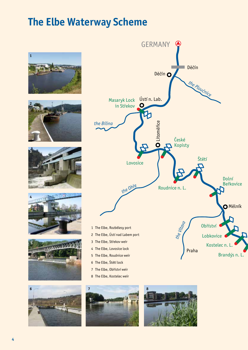# **The Elbe Waterway Scheme**

















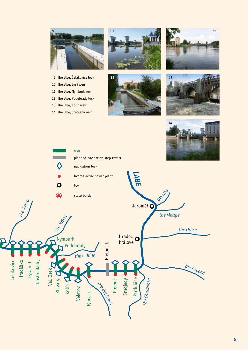

- 9 The Elbe, Čelákovice lock **12**
- 10 The Elbe, Lysá weir
- 11 The Elbe, Nymburk weir
- 12 The Elbe, Poděbrady lock
- 13 The Elbe, Kolín weir
- 14 The Elbe, Srnojedy weir









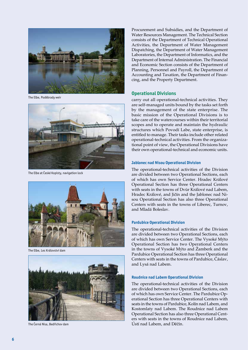

The Elbe, Poděbrady weir



The Elbe at České Kopisty, navigation lock



The Elbe, Les Království dam



The Černá Nisa, Bedřichov dam

Procurement and Subsidies, and the Department of Water Resources Management. The Technical Section consists of the Department of Technical Operational Activities, the Department of Water Management Dispatching, the Department of Water Management Laboratories, the Department of Informatics, and the Department of Internal Administration. The Financial and Economic Section consists of the Department of Planning, Personnel and Payroll, the Department of Accounting and Taxation, the Department of Finan cing, and the Property Department.

#### **Operational Divisions**

carry out all operational-technical activities. They are self-managed units bound by the tasks set forth by the management of the state enterprise. The basic mission of the Operational Divisions is to take care of the watercourses within their territorial scopes and to operate and maintain the hydraulic structures which Povodí Labe, state enterprise, is entitled to manage. Their tasks include other related operational-technical activities. From the organiza tional point of view, the Operational Divisions have their own operational-technical and economic units.

#### **Jablonec nad Nisou Operational Division**

The operational-technical activities of the Division are divided between two Operational Sections, each of which has own Service Center. Hradec Králové Operational Section has three Operational Centers with seats in the towns of Dvůr Králové nad Labem, Hradec Králové, and Jičín and the Jablonec nad Ni sou Operational Section has also three Operational Centers with seats in the towns of Liberec, Turnov, and Mladá Boleslav.

#### **Pardubice Operational Division**

The operational-technical activities of the Division are divided between two Operational Sections, each of which has own Service Center. The Vysoké Mýto Operational Section has two Operational Centers in the towns of Vysoké Mýto and Žamberk and the Pardubice Operational Section has three Operational Centers with seats in the towns of Pardubice, Čáslav, and Lysá nad Labem.

#### **Roudnice nad Labem Operational Division**

The operational-technical activities of the Division are divided between two Operational Sections, each of which has own Service Center. The Pardubice Op erational Section has three Operational Centers with seats in the towns of Pardubice, Kolín nad Labem, and Kostomlaty nad Labem. The Roudnice nad Labem Operational Section has also three Operational Cent ers with seats in the towns of Roudnice nad Labem, Ústí nad Labem, and Děčín.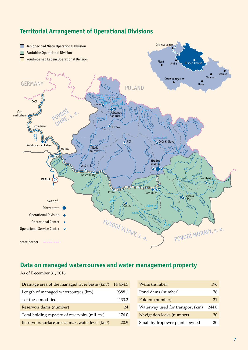

# **Territorial Arrangement of Operational Divisions**

# **Data on managed watercourses and water management property**

As of December 31, 2016

| Drainage area of the managed river basin (km <sup>2</sup> )    | 14 4 54.5 |
|----------------------------------------------------------------|-----------|
| Length of managed watercourses (km)                            | 9388.1    |
| - of these modified                                            | 4133.2    |
| Reservoir dams (number)                                        | 24        |
| Total holding capacity of reservoirs (mil. m <sup>3</sup> )    | 176.0     |
| Reservoirs surface area at max. water level (km <sup>2</sup> ) | 20.9      |

| Weirs (number)                   | 196   |
|----------------------------------|-------|
| Pond dams (number)               | 76    |
| Polders (number)                 | 21    |
| Waterway used for transport (km) | 244.8 |
| Navigation locks (number)        | 30    |
| Small hydropower plants owned    | 20    |